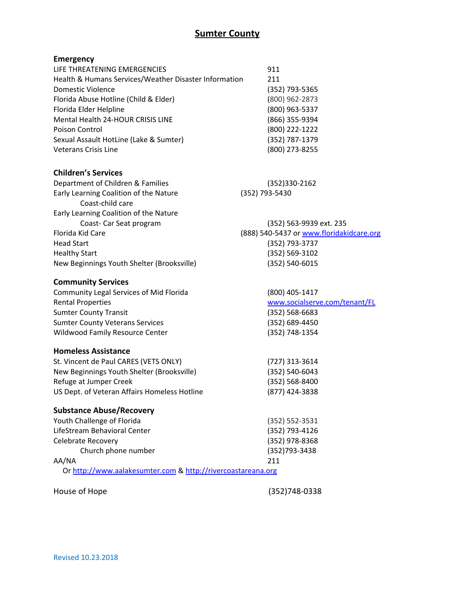## **Sumter County**

## **Emergency**

| LIFE THREATENING EMERGENCIES                          | 911            |
|-------------------------------------------------------|----------------|
| Health & Humans Services/Weather Disaster Information | 211            |
| Domestic Violence                                     | (352) 793-5365 |
| Florida Abuse Hotline (Child & Elder)                 | (800) 962-2873 |
| Florida Elder Helpline                                | (800) 963-5337 |
| Mental Health 24-HOUR CRISIS LINE                     | (866) 355-9394 |
| Poison Control                                        | (800) 222-1222 |
| Sexual Assault HotLine (Lake & Sumter)                | (352) 787-1379 |
| <b>Veterans Crisis Line</b>                           | (800) 273-8255 |

#### **Children's Services**

| (352)330-2162                            |
|------------------------------------------|
| (352) 793-5430                           |
|                                          |
|                                          |
| (352) 563-9939 ext. 235                  |
| (888) 540-5437 or www.floridakidcare.org |
| (352) 793-3737                           |
| (352) 569-3102                           |
| (352) 540-6015                           |
|                                          |

#### **Community Services**

| (800) 405-1417                |
|-------------------------------|
| www.socialserve.com/tenant/FL |
| $(352) 568 - 6683$            |
| $(352) 689 - 4450$            |
| (352) 748-1354                |
|                               |

#### **Homeless Assistance**

| St. Vincent de Paul CARES (VETS ONLY)        | (727) 313-3614     |
|----------------------------------------------|--------------------|
| New Beginnings Youth Shelter (Brooksville)   | (352) 540-6043     |
| Refuge at Jumper Creek                       | $(352) 568 - 8400$ |
| US Dept. of Veteran Affairs Homeless Hotline | (877) 424-3838     |
|                                              |                    |

## **Substance Abuse/Recovery**

| Youth Challenge of Florida                                   | $(352) 552 - 3531$ |
|--------------------------------------------------------------|--------------------|
| LifeStream Behavioral Center                                 | (352) 793-4126     |
| Celebrate Recovery                                           | (352) 978-8368     |
| Church phone number                                          | (352) 793-3438     |
| AA/NA                                                        | 211                |
| Or http://www.aalakesumter.com & http://rivercoastareana.org |                    |

House of Hope (352)748-0338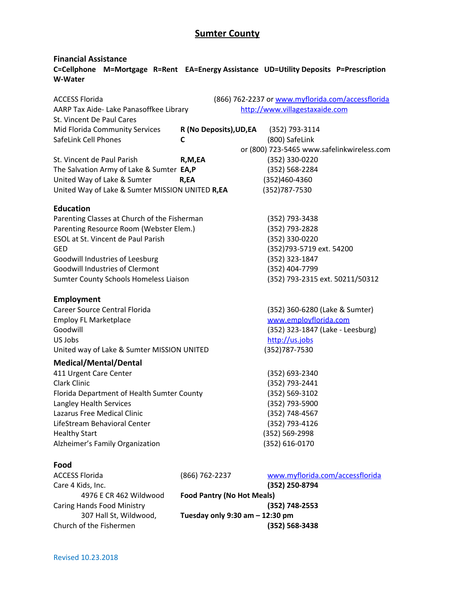# **Sumter County**

### **Financial Assistance C=Cellphone M=Mortgage R=Rent EA=Energy Assistance UD=Utility Deposits P=Prescription W-Water**

| <b>ACCESS Florida</b>                           |                                        | (866) 762-2237 or www.myflorida.com/accessflorida |
|-------------------------------------------------|----------------------------------------|---------------------------------------------------|
| AARP Tax Aide- Lake Panasoffkee Library         |                                        | http://www.villagestaxaide.com                    |
| St. Vincent De Paul Cares                       |                                        |                                                   |
| Mid Florida Community Services                  | R (No Deposits), UD, EA (352) 793-3114 |                                                   |
| SafeLink Cell Phones                            | C                                      | (800) SafeLink                                    |
|                                                 |                                        | or (800) 723-5465 www.safelinkwireless.com        |
| St. Vincent de Paul Parish                      | R,M,EA                                 | (352) 330-0220                                    |
| The Salvation Army of Lake & Sumter EA,P        |                                        | (352) 568-2284                                    |
| United Way of Lake & Sumter                     | R,EA                                   | (352)460-4360                                     |
| United Way of Lake & Sumter MISSION UNITED R,EA |                                        | (352) 787-7530                                    |
| <b>Education</b>                                |                                        |                                                   |
| Parenting Classes at Church of the Fisherman    |                                        | (352) 793-3438                                    |
| Parenting Resource Room (Webster Elem.)         |                                        | (352) 793-2828                                    |
| <b>ESOL at St. Vincent de Paul Parish</b>       |                                        | (352) 330-0220                                    |
| <b>GED</b>                                      |                                        | (352)793-5719 ext. 54200                          |
| Goodwill Industries of Leesburg                 |                                        | (352) 323-1847                                    |
| <b>Goodwill Industries of Clermont</b>          |                                        | (352) 404-7799                                    |
| Sumter County Schools Homeless Liaison          |                                        | (352) 793-2315 ext. 50211/50312                   |
| <b>Employment</b>                               |                                        |                                                   |
| Career Source Central Florida                   |                                        | (352) 360-6280 (Lake & Sumter)                    |
| <b>Employ FL Marketplace</b>                    |                                        | www.employflorida.com                             |
| Goodwill                                        |                                        | (352) 323-1847 (Lake - Leesburg)                  |
| US Jobs                                         |                                        | http://us.jobs                                    |
| United way of Lake & Sumter MISSION UNITED      |                                        | (352) 787-7530                                    |
| <b>Medical/Mental/Dental</b>                    |                                        |                                                   |
| 411 Urgent Care Center                          |                                        | (352) 693-2340                                    |
| <b>Clark Clinic</b>                             |                                        | (352) 793-2441                                    |
| Florida Department of Health Sumter County      |                                        | (352) 569-3102                                    |
| Langley Health Services                         |                                        | (352) 793-5900                                    |
| Lazarus Free Medical Clinic                     |                                        | (352) 748-4567                                    |
| LifeStream Behavioral Center                    |                                        | (352) 793-4126                                    |
| <b>Healthy Start</b>                            |                                        | (352) 569-2998                                    |
| Alzheimer's Family Organization                 |                                        | (352) 616-0170                                    |
| Food                                            |                                        |                                                   |
| <b>ACCESS Florida</b>                           | (866) 762-2237                         | www.myflorida.com/accessflorida                   |
| Care 4 Kids, Inc.                               |                                        | (352) 250-8794                                    |
| 4976 E CR 462 Wildwood                          | <b>Food Pantry (No Hot Meals)</b>      |                                                   |
| Caring Hands Food Ministry                      |                                        | (352) 748-2553                                    |
| 307 Hall St, Wildwood,                          | Tuesday only 9:30 am - 12:30 pm        |                                                   |
| Church of the Fishermen                         |                                        | (352) 568-3438                                    |
|                                                 |                                        |                                                   |